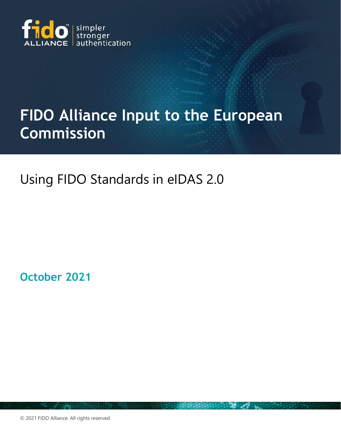

# **FIDO Alliance Input to the European Commission**

## Using FIDO Standards in eIDAS 2.0

**October 2021**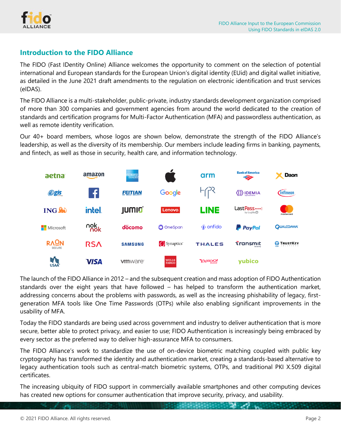

### **Introduction to the FIDO Alliance**

The FIDO (Fast IDentity Online) Alliance welcomes the opportunity to comment on the selection of potential international and European standards for the European Union's digital identity (EUid) and digital wallet initiative, as detailed in the June 2021 draft amendments to the regulation on electronic identification and trust services (eIDAS).

The FIDO Alliance is a multi-stakeholder, public-private, industry standards development organization comprised of more than 300 companies and government agencies from around the world dedicated to the creation of standards and certification programs for Multi-Factor Authentication (MFA) and passwordless authentication, as well as remote identity verification.

Our 40+ board members, whose logos are shown below, demonstrate the strength of the FIDO Alliance's leadership, as well as the diversity of its membership. Our members include leading firms in banking, payments, and fintech, as well as those in security, health care, and information technology.



The launch of the FIDO Alliance in 2012 – and the subsequent creation and mass adoption of FIDO Authentication standards over the eight years that have followed – has helped to transform the authentication market, addressing concerns about the problems with passwords, as well as the increasing phishability of legacy, firstgeneration MFA tools like One Time Passwords (OTPs) while also enabling significant improvements in the usability of MFA.

Today the FIDO standards are being used across government and industry to deliver authentication that is more secure, better able to protect privacy, and easier to use; FIDO Authentication is increasingly being embraced by every sector as the preferred way to deliver high-assurance MFA to consumers.

The FIDO Alliance's work to standardize the use of on-device biometric matching coupled with public key cryptography has transformed the identity and authentication market, creating a standards-based alternative to legacy authentication tools such as central-match biometric systems, OTPs, and traditional PKI X.509 digital certificates.

The increasing ubiquity of FIDO support in commercially available smartphones and other computing devices has created new options for consumer authentication that improve security, privacy, and usability.

**COLLEGE AND COLLEGE**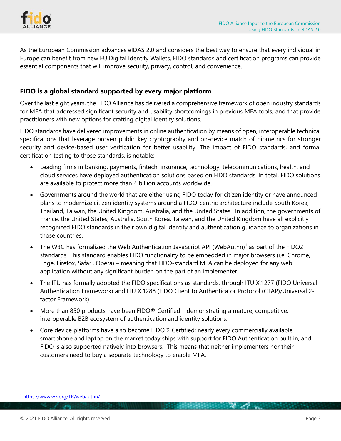

As the European Commission advances eIDAS 2.0 and considers the best way to ensure that every individual in Europe can benefit from new EU Digital Identity Wallets, FIDO standards and certification programs can provide essential components that will improve security, privacy, control, and convenience.

#### **FIDO is a global standard supported by every major platform**

Over the last eight years, the FIDO Alliance has delivered a comprehensive framework of open industry standards for MFA that addressed significant security and usability shortcomings in previous MFA tools, and that provide practitioners with new options for crafting digital identity solutions.

FIDO standards have delivered improvements in online authentication by means of open, interoperable technical specifications that leverage proven public key cryptography and on-device match of biometrics for stronger security and device-based user verification for better usability. The impact of FIDO standards, and formal certification testing to those standards, is notable:

- Leading firms in banking, payments, fintech, insurance, technology, telecommunications, health, and cloud services have deployed authentication solutions based on FIDO standards. In total, FIDO solutions are available to protect more than 4 billion accounts worldwide.
- Governments around the world that are either using FIDO today for citizen identity or have announced plans to modernize citizen identity systems around a FIDO-centric architecture include South Korea, Thailand, Taiwan, the United Kingdom, Australia, and the United States. In addition, the governments of France, the United States, Australia, South Korea, Taiwan, and the United Kingdom have all explicitly recognized FIDO standards in their own digital identity and authentication guidance to organizations in those countries.
- The W3C has formalized the Web Authentication JavaScript API (WebAuthn)<sup>1</sup> as part of the FIDO2 standards. This standard enables FIDO functionality to be embedded in major browsers (i.e. Chrome, Edge, Firefox, Safari, Opera) – meaning that FIDO-standard MFA can be deployed for any web application without any significant burden on the part of an implementer.
- The ITU has formally adopted the FIDO specifications as standards, through ITU X.1277 (FIDO Universal Authentication Framework) and ITU X.1288 (FIDO Client to Authenticator Protocol (CTAP)/Universal 2 factor Framework).
- More than 850 products have been FIDO<sup>®</sup> Certified demonstrating a mature, competitive, interoperable B2B ecosystem of authentication and identity solutions.
- Core device platforms have also become FIDO® Certified; nearly every commercially available smartphone and laptop on the market today ships with support for FIDO Authentication built in, and FIDO is also supported natively into browsers. This means that neither implementers nor their customers need to buy a separate technology to enable MFA.

<sup>1</sup> <https://www.w3.org/TR/webauthn/>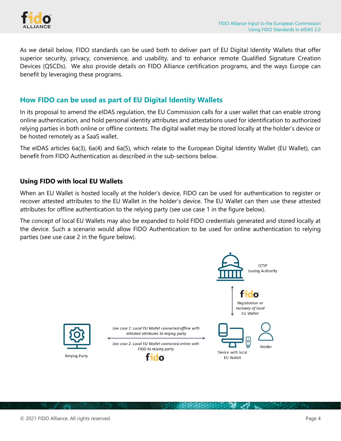

As we detail below, FIDO standards can be used both to deliver part of EU Digital Identity Wallets that offer superior security, privacy, convenience, and usability, and to enhance remote Qualified Signature Creation Devices (QSCDs). We also provide details on FIDO Alliance certification programs, and the ways Europe can benefit by leveraging these programs.

#### **How FIDO can be used as part of EU Digital Identity Wallets**

In its proposal to amend the eIDAS regulation, the EU Commission calls for a user wallet that can enable strong online authentication, and hold personal identity attributes and attestations used for identification to authorized relying parties in both online or offline contexts. The digital wallet may be stored locally at the holder's device or be hosted remotely as a SaaS wallet.

The eIDAS articles 6a(3), 6a(4) and 6a(5), which relate to the European Digital Identity Wallet (EU Wallet), can benefit from FIDO Authentication as described in the sub-sections below.

#### **Using FIDO with local EU Wallets**

When an EU Wallet is hosted locally at the holder's device, FIDO can be used for authentication to register or recover attested attributes to the EU Wallet in the holder's device. The EU Wallet can then use these attested attributes for offline authentication to the relying party (see use case 1 in the figure below).

The concept of local EU Wallets may also be expanded to hold FIDO credentials generated and stored locally at the device. Such a scenario would allow FIDO Authentication to be used for online authentication to relying parties (see use case 2 in the figure below).

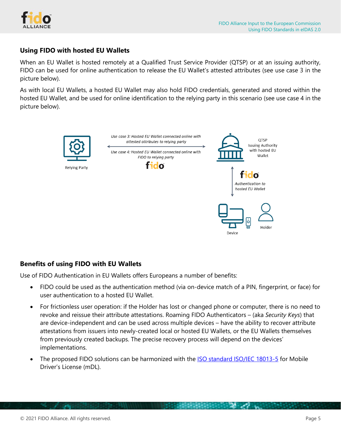

#### **Using FIDO with hosted EU Wallets**

When an EU Wallet is hosted remotely at a Qualified Trust Service Provider (QTSP) or at an issuing authority, FIDO can be used for online authentication to release the EU Wallet's attested attributes (see use case 3 in the picture below).

As with local EU Wallets, a hosted EU Wallet may also hold FIDO credentials, generated and stored within the hosted EU Wallet, and be used for online identification to the relying party in this scenario (see use case 4 in the picture below).



#### **Benefits of using FIDO with EU Wallets**

Use of FIDO Authentication in EU Wallets offers Europeans a number of benefits:

- FIDO could be used as the authentication method (via on-device match of a PIN, fingerprint, or face) for user authentication to a hosted EU Wallet.
- For frictionless user operation: if the Holder has lost or changed phone or computer, there is no need to revoke and reissue their attribute attestations. Roaming FIDO Authenticators – (aka *Security Keys*) that are device-independent and can be used across multiple devices – have the ability to recover attribute attestations from issuers into newly-created local or hosted EU Wallets, or the EU Wallets themselves from previously created backups. The precise recovery process will depend on the devices' implementations.
- The proposed FIDO solutions can be harmonized with the [ISO standard ISO/IEC 18013-5](https://www.iso.org/standard/69084.html) for Mobile Driver's License (mDL).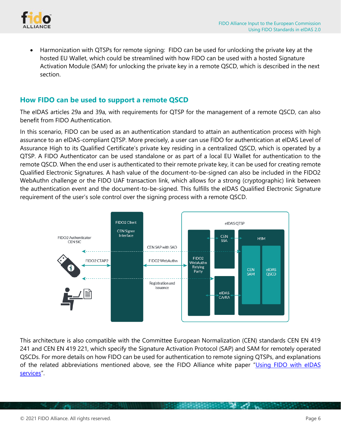

• Harmonization with QTSPs for remote signing: FIDO can be used for unlocking the private key at the hosted EU Wallet, which could be streamlined with how FIDO can be used with a hosted Signature Activation Module (SAM) for unlocking the private key in a remote QSCD, which is described in the next section.

#### **How FIDO can be used to support a remote QSCD**

The eIDAS articles 29a and 39a, with requirements for QTSP for the management of a remote QSCD, can also benefit from FIDO Authentication.

In this scenario, FIDO can be used as an authentication standard to attain an authentication process with high assurance to an eIDAS-compliant QTSP. More precisely, a user can use FIDO for authentication at eIDAS Level of Assurance High to its Qualified Certificate's private key residing in a centralized QSCD, which is operated by a QTSP. A FIDO Authenticator can be used standalone or as part of a local EU Wallet for authentication to the remote QSCD. When the end user is authenticated to their remote private key, it can be used for creating remote Qualified Electronic Signatures. A hash value of the document-to-be-signed can also be included in the FIDO2 WebAuthn challenge or the FIDO UAF transaction link, which allows for a strong (cryptographic) link between the authentication event and the document-to-be-signed. This fulfills the eIDAS Qualified Electronic Signature requirement of the user's sole control over the signing process with a remote QSCD.



This architecture is also compatible with the Committee European Normalization (CEN) standards CEN EN 419 241 and CEN EN 419 221, which specify the Signature Activation Protocol (SAP) and SAM for remotely operated QSCDs. For more details on how FIDO can be used for authentication to remote signing QTSPs, and explanations of the related abbreviations mentioned above, see the FIDO Alliance white paper "[Using FIDO with eIDAS](https://fidoalliance.org/white-paper-using-fido-with-eidas-services/)  [services](https://fidoalliance.org/white-paper-using-fido-with-eidas-services/)".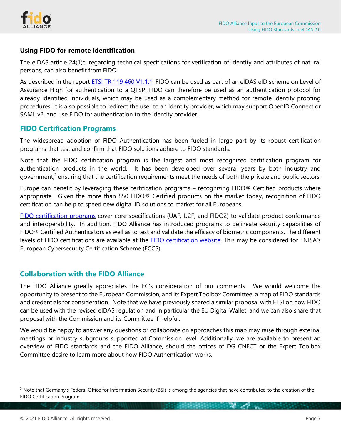

#### **Using FIDO for remote identification**

The eIDAS article 24(1)c, regarding technical specifications for verification of identity and attributes of natural persons, can also benefit from FIDO.

As described in the report [ETSI TR 119 460 V1.1.1,](https://www.etsi.org/deliver/etsi_tr/119400_119499/119460/01.01.01_60/tr_119460v010101p.pdf) FIDO can be used as part of an eIDAS eID scheme on Level of Assurance High for authentication to a QTSP. FIDO can therefore be used as an authentication protocol for already identified individuals, which may be used as a complementary method for remote identity proofing procedures. It is also possible to redirect the user to an identity provider, which may support OpenID Connect or SAML v2, and use FIDO for authentication to the identity provider.

#### **FIDO Certification Programs**

The widespread adoption of FIDO Authentication has been fueled in large part by its robust certification programs that test and confirm that FIDO solutions adhere to FIDO standards.

Note that the FIDO certification program is the largest and most recognized certification program for authentication products in the world. It has been developed over several years by both industry and government,<sup>2</sup> ensuring that the certification requirements meet the needs of both the private and public sectors.

Europe can benefit by leveraging these certification programs – recognizing FIDO® Certified products where appropriate. Given the more than 850 FIDO® Certified products on the market today, recognition of FIDO certification can help to speed new digital ID solutions to market for all Europeans.

[FIDO certification programs](https://fidoalliance.org/certification/) cover core specifications (UAF, U2F, and FIDO2) to validate product conformance and interoperability. In addition, FIDO Alliance has introduced programs to delineate security capabilities of FIDO® Certified Authenticators as well as to test and validate the efficacy of biometric components. The different levels of FIDO certifications are available at the [FIDO certification website](https://fidoalliance.org/certification/authenticator-certification-levels/). This may be considered for ENISA's European Cybersecurity Certification Scheme (ECCS).

#### **Collaboration with the FIDO Alliance**

The FIDO Alliance greatly appreciates the EC's consideration of our comments. We would welcome the opportunity to present to the European Commission, and its Expert Toolbox Committee, a map of FIDO standards and credentials for consideration. Note that we have previously shared a similar proposal with ETSI on how FIDO can be used with the revised eIDAS regulation and in particular the EU Digital Wallet, and we can also share that proposal with the Commission and its Committee if helpful.

We would be happy to answer any questions or collaborate on approaches this map may raise through external meetings or industry subgroups supported at Commission level. Additionally, we are available to present an overview of FIDO standards and the FIDO Alliance, should the offices of DG CNECT or the Expert Toolbox Committee desire to learn more about how FIDO Authentication works.

<sup>&</sup>lt;sup>2</sup> Note that Germany's Federal Office for Information Security (BSI) is among the agencies that have contributed to the creation of the FIDO Certification Program.